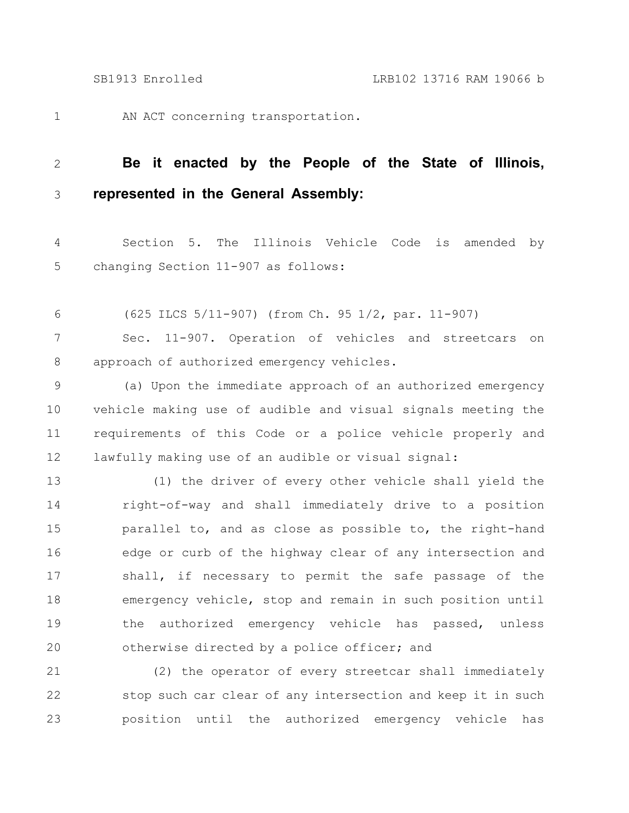1

AN ACT concerning transportation.

## **Be it enacted by the People of the State of Illinois, represented in the General Assembly:** 2 3

Section 5. The Illinois Vehicle Code is amended by changing Section 11-907 as follows: 4 5

(625 ILCS 5/11-907) (from Ch. 95 1/2, par. 11-907) 6

Sec. 11-907. Operation of vehicles and streetcars on approach of authorized emergency vehicles. 7 8

(a) Upon the immediate approach of an authorized emergency vehicle making use of audible and visual signals meeting the requirements of this Code or a police vehicle properly and lawfully making use of an audible or visual signal: 9 10 11 12

(1) the driver of every other vehicle shall yield the right-of-way and shall immediately drive to a position parallel to, and as close as possible to, the right-hand edge or curb of the highway clear of any intersection and shall, if necessary to permit the safe passage of the emergency vehicle, stop and remain in such position until the authorized emergency vehicle has passed, unless otherwise directed by a police officer; and 13 14 15 16 17 18 19 20

(2) the operator of every streetcar shall immediately stop such car clear of any intersection and keep it in such position until the authorized emergency vehicle has 21 22 23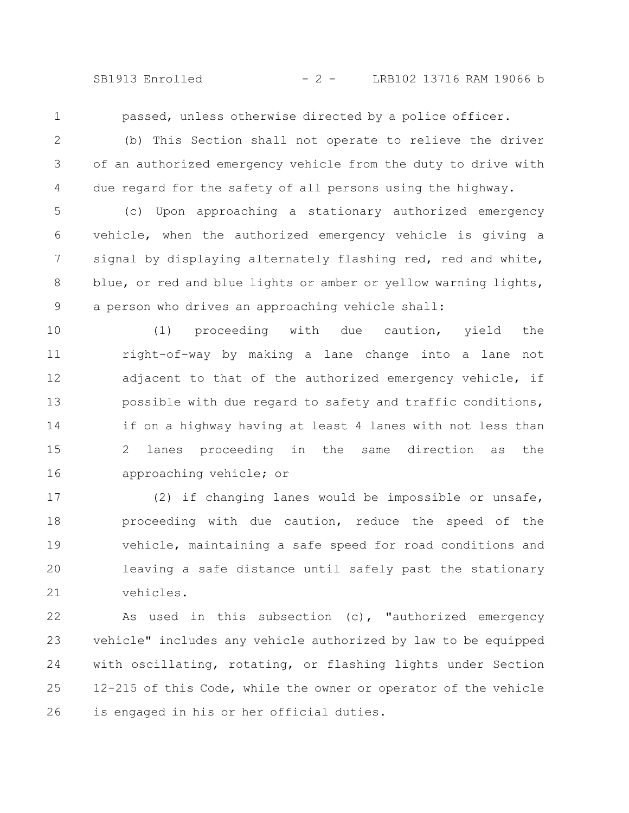SB1913 Enrolled - 2 - LRB102 13716 RAM 19066 b

1

passed, unless otherwise directed by a police officer.

2 3

4

(b) This Section shall not operate to relieve the driver of an authorized emergency vehicle from the duty to drive with due regard for the safety of all persons using the highway.

(c) Upon approaching a stationary authorized emergency vehicle, when the authorized emergency vehicle is giving a signal by displaying alternately flashing red, red and white, blue, or red and blue lights or amber or yellow warning lights, a person who drives an approaching vehicle shall: 5 6 7 8 9

(1) proceeding with due caution, yield the right-of-way by making a lane change into a lane not adjacent to that of the authorized emergency vehicle, if possible with due regard to safety and traffic conditions, if on a highway having at least 4 lanes with not less than 2 lanes proceeding in the same direction as the approaching vehicle; or 10 11 12 13 14 15 16

(2) if changing lanes would be impossible or unsafe, proceeding with due caution, reduce the speed of the vehicle, maintaining a safe speed for road conditions and leaving a safe distance until safely past the stationary vehicles. 17 18 19 20 21

As used in this subsection (c), "authorized emergency vehicle" includes any vehicle authorized by law to be equipped with oscillating, rotating, or flashing lights under Section 12-215 of this Code, while the owner or operator of the vehicle is engaged in his or her official duties. 22 23 24 25 26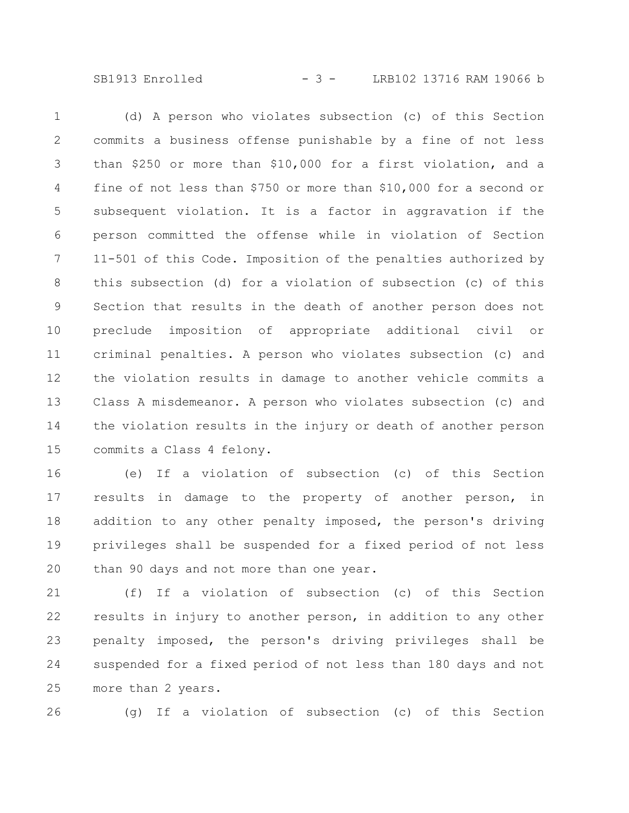SB1913 Enrolled - 3 - LRB102 13716 RAM 19066 b

(d) A person who violates subsection (c) of this Section commits a business offense punishable by a fine of not less than \$250 or more than \$10,000 for a first violation, and a fine of not less than \$750 or more than \$10,000 for a second or subsequent violation. It is a factor in aggravation if the person committed the offense while in violation of Section 11-501 of this Code. Imposition of the penalties authorized by this subsection (d) for a violation of subsection (c) of this Section that results in the death of another person does not preclude imposition of appropriate additional civil or criminal penalties. A person who violates subsection (c) and the violation results in damage to another vehicle commits a Class A misdemeanor. A person who violates subsection (c) and the violation results in the injury or death of another person commits a Class 4 felony. 1 2 3 4 5 6 7 8 9 10 11 12 13 14 15

(e) If a violation of subsection (c) of this Section results in damage to the property of another person, in addition to any other penalty imposed, the person's driving privileges shall be suspended for a fixed period of not less than 90 days and not more than one year. 16 17 18 19 20

(f) If a violation of subsection (c) of this Section results in injury to another person, in addition to any other penalty imposed, the person's driving privileges shall be suspended for a fixed period of not less than 180 days and not more than 2 years. 21 22 23 24 25

26

(g) If a violation of subsection (c) of this Section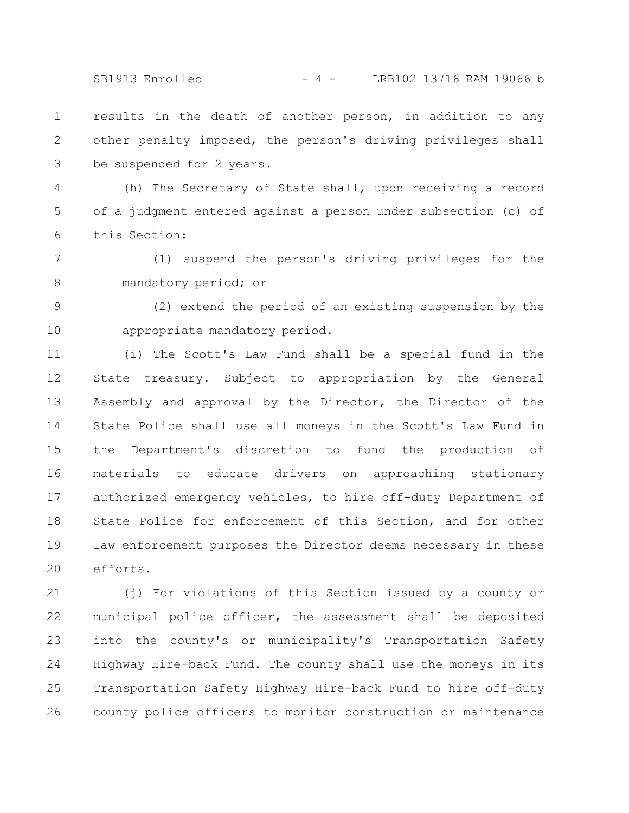SB1913 Enrolled - 4 - LRB102 13716 RAM 19066 b

results in the death of another person, in addition to any other penalty imposed, the person's driving privileges shall be suspended for 2 years. 1 2 3

(h) The Secretary of State shall, upon receiving a record of a judgment entered against a person under subsection (c) of this Section: 4 5 6

(1) suspend the person's driving privileges for the mandatory period; or 7 8

(2) extend the period of an existing suspension by the appropriate mandatory period. 9 10

(i) The Scott's Law Fund shall be a special fund in the State treasury. Subject to appropriation by the General Assembly and approval by the Director, the Director of the State Police shall use all moneys in the Scott's Law Fund in the Department's discretion to fund the production of materials to educate drivers on approaching stationary authorized emergency vehicles, to hire off-duty Department of State Police for enforcement of this Section, and for other law enforcement purposes the Director deems necessary in these efforts. 11 12 13 14 15 16 17 18 19 20

(j) For violations of this Section issued by a county or municipal police officer, the assessment shall be deposited into the county's or municipality's Transportation Safety Highway Hire-back Fund. The county shall use the moneys in its Transportation Safety Highway Hire-back Fund to hire off-duty county police officers to monitor construction or maintenance 21 22 23 24 25 26